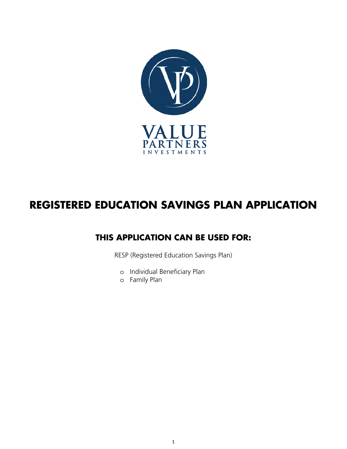

# **REGISTERED EDUCATION SAVINGS PLAN APPLICATION**

## **THIS APPLICATION CAN BE USED FOR:**

RESP (Registered Education Savings Plan)

- o Individual Beneficiary Plan
- o Family Plan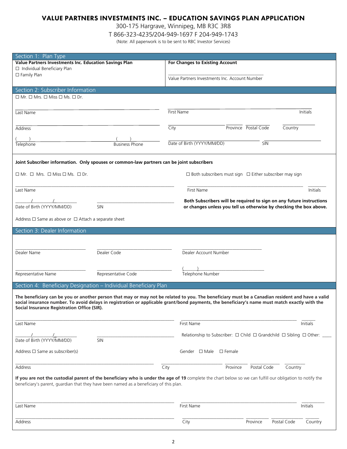### VALUE PARTNERS INVESTMENTS INC. – EDUCATION SAVINGS PLAN APPLICATION

300-175 Hargrave, Winnipeg, MB R3C 3R8

T 866-323-4235/204-949-1697 F 204-949-1743

(Note: All paperwork is to be sent to RBC Investor Services)

| Section 1: Plan Type                                                                       |                                                                                                                                                           |
|--------------------------------------------------------------------------------------------|-----------------------------------------------------------------------------------------------------------------------------------------------------------|
|                                                                                            |                                                                                                                                                           |
| Value Partners Investments Inc. Education Savings Plan                                     | <b>For Changes to Existing Account</b>                                                                                                                    |
| □ Individual Beneficiary Plan                                                              |                                                                                                                                                           |
| □ Family Plan                                                                              | Value Partners Investments Inc. Account Number                                                                                                            |
|                                                                                            |                                                                                                                                                           |
| Section 2: Subscriber Information                                                          |                                                                                                                                                           |
| $\Box$ Mr. $\Box$ Mrs. $\Box$ Miss $\Box$ Ms. $\Box$ Dr.                                   |                                                                                                                                                           |
|                                                                                            |                                                                                                                                                           |
|                                                                                            |                                                                                                                                                           |
| Last Name                                                                                  | First Name<br>Initials                                                                                                                                    |
|                                                                                            |                                                                                                                                                           |
| Address                                                                                    | City<br>Province Postal Code<br>Country                                                                                                                   |
|                                                                                            |                                                                                                                                                           |
|                                                                                            |                                                                                                                                                           |
| Telephone<br><b>Business Phone</b>                                                         | Date of Birth (YYYY/MM/DD)<br>SIN                                                                                                                         |
|                                                                                            |                                                                                                                                                           |
|                                                                                            |                                                                                                                                                           |
| Joint Subscriber information. Only spouses or common-law partners can be joint subscribers |                                                                                                                                                           |
|                                                                                            |                                                                                                                                                           |
| $\Box$ Mr. $\Box$ Mrs. $\Box$ Miss $\Box$ Ms. $\Box$ Dr.                                   | $\Box$ Both subscribers must sign $\Box$ Either subscriber may sign                                                                                       |
|                                                                                            |                                                                                                                                                           |
|                                                                                            |                                                                                                                                                           |
| Last Name                                                                                  | <b>First Name</b><br>Initials                                                                                                                             |
|                                                                                            | Both Subscribers will be required to sign on any future instructions                                                                                      |
| Date of Birth (YYYY/MM/DD)<br>SIN                                                          | or changes unless you tell us otherwise by checking the box above.                                                                                        |
|                                                                                            |                                                                                                                                                           |
| Address $\Box$ Same as above or $\Box$ Attach a separate sheet                             |                                                                                                                                                           |
|                                                                                            |                                                                                                                                                           |
| Section 3: Dealer Information                                                              |                                                                                                                                                           |
|                                                                                            |                                                                                                                                                           |
|                                                                                            |                                                                                                                                                           |
|                                                                                            |                                                                                                                                                           |
| Dealer Name<br>Dealer Code                                                                 | Dealer Account Number                                                                                                                                     |
|                                                                                            |                                                                                                                                                           |
|                                                                                            |                                                                                                                                                           |
| Representative Name<br>Representative Code                                                 | Telephone Number                                                                                                                                          |
|                                                                                            |                                                                                                                                                           |
| Section 4: Beneficiary Designation - Individual Beneficiary Plan                           |                                                                                                                                                           |
|                                                                                            |                                                                                                                                                           |
|                                                                                            | The beneficiary can be you or another person that may or may not be related to you. The beneficiary must be a Canadian resident and have a valid          |
|                                                                                            | social insurance number. To avoid delays in registration or applicable grant/bond payments, the beneficiary's name must match exactly with the            |
| Social Insurance Registration Office (SIR).                                                |                                                                                                                                                           |
|                                                                                            |                                                                                                                                                           |
|                                                                                            |                                                                                                                                                           |
| Last Name                                                                                  | <b>First Name</b><br>Initials                                                                                                                             |
|                                                                                            | Relationship to Subscriber: $\Box$ Child $\Box$ Grandchild $\Box$ Sibling $\Box$ Other:                                                                   |
| Date of Birth (YYYY/MM/DD)<br>SIN                                                          |                                                                                                                                                           |
|                                                                                            |                                                                                                                                                           |
| Address $\Box$ Same as subscriber(s)                                                       | Gender $\Box$ Male $\Box$ Female                                                                                                                          |
|                                                                                            |                                                                                                                                                           |
|                                                                                            |                                                                                                                                                           |
| Address                                                                                    | City<br>Postal Code<br>Country<br>Province                                                                                                                |
|                                                                                            |                                                                                                                                                           |
|                                                                                            | If you are not the custodial parent of the beneficiary who is under the age of 19 complete the chart below so we can fulfill our obligation to notify the |
| beneficiary's parent, guardian that they have been named as a beneficiary of this plan.    |                                                                                                                                                           |
|                                                                                            |                                                                                                                                                           |
|                                                                                            |                                                                                                                                                           |
| Last Name                                                                                  | First Name<br>Initials                                                                                                                                    |
|                                                                                            |                                                                                                                                                           |
|                                                                                            |                                                                                                                                                           |
| Address                                                                                    | Postal Code<br>City<br>Province<br>Country                                                                                                                |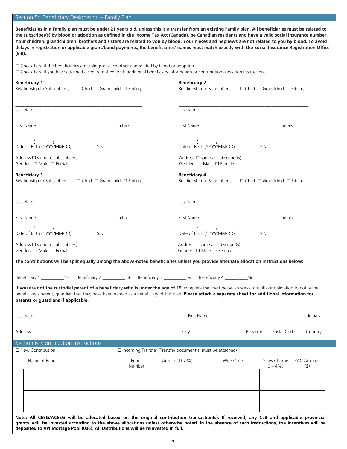#### Section 5: Beneficiary Designation – Family Plan

**Beneficiaries in a Family plan must be under 21 years old, unless this is a transfer from an existing Family plan. All beneficiaries must be related to the subscriber(s) by blood or adoption as defined in the Income Tax Act (Canada), be Canadian residents and have a valid social insurance number. Your children, grandchildren, brothers and sisters are related to you by blood. Your nieces and nephews are not related to you by blood. To avoid delays in registration or applicable grant/bond payments, the beneficiaries' names must match exactly with the Social Insurance Registration Office (SIR).**

☐ Check here if the beneficiaries are siblings of each other and related by blood or adoption.

☐ Check here if you have attached a separate sheet with additional beneficiary information or contribution allocation instructions.

| <b>Beneficiary 1</b><br>Relationship to Subscriber(s): □ Child □ Grandchild □ Sibling                                                                                                                                                                                                                                                                                            | <b>Beneficiary 2</b>                                                                                  | Relationship to Subscriber(s): $\Box$ Child $\Box$ Grandchild $\Box$ Sibling |                                                      |
|----------------------------------------------------------------------------------------------------------------------------------------------------------------------------------------------------------------------------------------------------------------------------------------------------------------------------------------------------------------------------------|-------------------------------------------------------------------------------------------------------|------------------------------------------------------------------------------|------------------------------------------------------|
| Last Name                                                                                                                                                                                                                                                                                                                                                                        | Last Name                                                                                             |                                                                              |                                                      |
| First Name<br>Initials                                                                                                                                                                                                                                                                                                                                                           | First Name                                                                                            |                                                                              | Initials                                             |
| Date of Birth (YYYY/MM/DD)<br>SIN                                                                                                                                                                                                                                                                                                                                                |                                                                                                       | Date of Birth (YYYY/MM/DD)                                                   | SIN                                                  |
| Address $\Box$ same as subscriber(s)<br>Gender: $\Box$ Male $\Box$ Female                                                                                                                                                                                                                                                                                                        |                                                                                                       | Address $\Box$ same as subscriber(s)<br>Gender: $\Box$ Male $\Box$ Female    |                                                      |
| <b>Beneficiary 3</b><br>Relationship to Subscriber(s): $\Box$ Child $\Box$ Grandchild $\Box$ Sibling                                                                                                                                                                                                                                                                             | <b>Beneficiary 4</b>                                                                                  | Relationship to Subscriber(s): $\Box$ Child $\Box$ Grandchild $\Box$ Sibling |                                                      |
| Last Name                                                                                                                                                                                                                                                                                                                                                                        | Last Name                                                                                             |                                                                              |                                                      |
| First Name<br>Initials                                                                                                                                                                                                                                                                                                                                                           | <b>First Name</b>                                                                                     |                                                                              | Initials                                             |
| $\frac{\ell}{\text{Date of Birth (YYYY/MM/DD)}}$<br>$\overline{\text{SIN}}$                                                                                                                                                                                                                                                                                                      |                                                                                                       | $\frac{\ell}{\text{Date of Birth (YYYY/MM/DD)}}$                             | SIN                                                  |
| Address $\Box$ same as subscriber(s)<br>Gender: □ Male □ Female                                                                                                                                                                                                                                                                                                                  |                                                                                                       | Address $\Box$ same as subscriber(s)<br>Gender: □ Male □ Female              |                                                      |
| The contributions will be split equally among the above-noted beneficiaries unless you provide alternate allocation instructions below:                                                                                                                                                                                                                                          |                                                                                                       |                                                                              |                                                      |
| Beneficiary 1 __________% Beneficiary 2 ___________ % Beneficiary 3 __________% Beneficiary 4 __________%                                                                                                                                                                                                                                                                        |                                                                                                       |                                                                              |                                                      |
| If you are not the custodial parent of a beneficiary who is under the age of 19, complete the chart below so we can fulfill our obligation to notify the<br>beneficiary's parent, guardian that they have been named as a beneficiary of this plan. Please attach a separate sheet for additional information for<br>parents or guardians if applicable.                         |                                                                                                       |                                                                              |                                                      |
| Last Name                                                                                                                                                                                                                                                                                                                                                                        |                                                                                                       | First Name                                                                   | Initials                                             |
| Address                                                                                                                                                                                                                                                                                                                                                                          | City                                                                                                  |                                                                              | Province Postal Code<br>Country                      |
| Section 6: Contribution Instructions                                                                                                                                                                                                                                                                                                                                             |                                                                                                       |                                                                              |                                                      |
| □ New Contribution<br>Name of Fund                                                                                                                                                                                                                                                                                                                                               | $\Box$ Incoming Transfer (Transfer document(s) must be attached)<br>Amount (\$ / %)<br>Fund<br>Number | Wire Order                                                                   | PAC Amount<br>Sales Charge<br>$(0 - 4\%)$<br>$($ \$) |
|                                                                                                                                                                                                                                                                                                                                                                                  |                                                                                                       |                                                                              |                                                      |
|                                                                                                                                                                                                                                                                                                                                                                                  |                                                                                                       |                                                                              |                                                      |
|                                                                                                                                                                                                                                                                                                                                                                                  |                                                                                                       |                                                                              |                                                      |
| Note: All CESG/ACESG will be allocated based on the original contribution transaction(s). If received, any CLB and applicable provincial<br>grants will be invested according to the above allocations unless otherwise noted. In the absence of such instructions, the incentives will be<br>deposited to VPI Mortage Pool (006). All Distributions will be reinvested in full. |                                                                                                       |                                                                              |                                                      |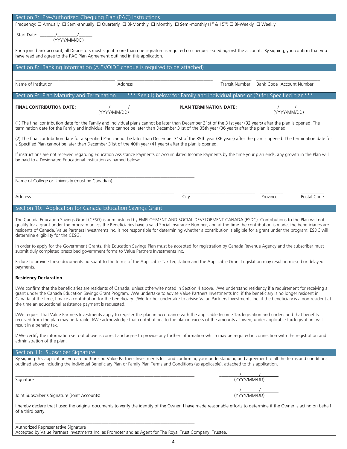| Section 7: Pre-Authorized Chequing Plan (PAC) Instructions                                                                                                                                                                                                                                                                                                                                                                                                                                                                                                                |  |  |  |  |  |
|---------------------------------------------------------------------------------------------------------------------------------------------------------------------------------------------------------------------------------------------------------------------------------------------------------------------------------------------------------------------------------------------------------------------------------------------------------------------------------------------------------------------------------------------------------------------------|--|--|--|--|--|
| Frequency: □ Annually □ Semi-annually □ Quarterly □ Bi-Monthly □ Monthly □ Semi-monthly (1st & 15th) □ Bi-Weekly □ Weekly                                                                                                                                                                                                                                                                                                                                                                                                                                                 |  |  |  |  |  |
| Start Date: $\frac{1}{(YYYY/MM/DD)}$                                                                                                                                                                                                                                                                                                                                                                                                                                                                                                                                      |  |  |  |  |  |
| For a joint bank account, all Depositors must sign if more than one signature is required on cheques issued against the account. By signing, you confirm that you<br>have read and agree to the PAC Plan Agreement outlined in this application.                                                                                                                                                                                                                                                                                                                          |  |  |  |  |  |
| Section 8: Banking Information (A "VOID" cheque is required to be attached)                                                                                                                                                                                                                                                                                                                                                                                                                                                                                               |  |  |  |  |  |
|                                                                                                                                                                                                                                                                                                                                                                                                                                                                                                                                                                           |  |  |  |  |  |
| Name of Institution<br>Address<br>Transit Number Bank Code Account Number                                                                                                                                                                                                                                                                                                                                                                                                                                                                                                 |  |  |  |  |  |
| *** See (1) below for Family and Individual plans or (2) for Specified plan***<br>Section 9: Plan Maturity and Termination                                                                                                                                                                                                                                                                                                                                                                                                                                                |  |  |  |  |  |
| <b>FINAL CONTRIBUTION DATE:</b><br><b>PLAN TERMINATION DATE:</b><br>$\frac{1}{(YYYY/MM/DD)}$<br>$\frac{1}{(YYYY/MM/DD)}$                                                                                                                                                                                                                                                                                                                                                                                                                                                  |  |  |  |  |  |
| (1) The final contribution date for the Family and Individual plans cannot be later than December 31st of the 31st year (32 years) after the plan is opened. The<br>termination date for the Family and Individual Plans cannot be later than December 31st of the 35th year (36 years) after the plan is opened.                                                                                                                                                                                                                                                         |  |  |  |  |  |
| (2) The final contribution date for a Specified Plan cannot be later than December 31st of the 35th year (36 years) after the plan is opened. The termination date for<br>a Specified Plan cannot be later than December 31st of the 40th year (41 years) after the plan is opened.                                                                                                                                                                                                                                                                                       |  |  |  |  |  |
| If instructions are not received regarding Education Assistance Payments or Accumulated Income Payments by the time your plan ends, any growth in the Plan will<br>be paid to a Designated Educational Institution as named below:                                                                                                                                                                                                                                                                                                                                        |  |  |  |  |  |
|                                                                                                                                                                                                                                                                                                                                                                                                                                                                                                                                                                           |  |  |  |  |  |
| Name of College or University (must be Canadian)                                                                                                                                                                                                                                                                                                                                                                                                                                                                                                                          |  |  |  |  |  |
| City<br>Postal Code<br>Address<br>Province                                                                                                                                                                                                                                                                                                                                                                                                                                                                                                                                |  |  |  |  |  |
| Section 10: Application for Canada Education Savings Grant                                                                                                                                                                                                                                                                                                                                                                                                                                                                                                                |  |  |  |  |  |
| The Canada Education Savings Grant (CESG) is administered by EMPLOYMENT AND SOCIAL DEVELOPMENT CANADA (ESDC). Contributions to the Plan will not<br>qualify for a grant under the program unless the Beneficiaries have a valid Social Insurance Number, and at the time the contribution is made, the beneficiaries are<br>residents of Canada. Value Partners Investments Inc. is not responsible for determining whether a contribution is eligible for a grant under the program; ESDC will<br>determine eligibility for the CESG.                                    |  |  |  |  |  |
| In order to apply for the Government Grants, this Education Savings Plan must be accepted for registration by Canada Revenue Agency and the subscriber must<br>submit duly completed prescribed government forms to Value Partners Investments Inc.                                                                                                                                                                                                                                                                                                                       |  |  |  |  |  |
| Failure to provide these documents pursuant to the terms of the Applicable Tax Legislation and the Applicable Grant Legislation may result in missed or delayed<br>payments.                                                                                                                                                                                                                                                                                                                                                                                              |  |  |  |  |  |
| <b>Residency Declaration</b>                                                                                                                                                                                                                                                                                                                                                                                                                                                                                                                                              |  |  |  |  |  |
| I/We confirm that the beneficiaries are residents of Canada, unless otherwise noted in Section 4 above. I/We understand residency if a requirement for receiving a<br>grant under the Canada Education Savings Grant Program. I/We undertake to advise Value Partners Investments Inc. if the beneficiary is no longer resident in<br>Canada at the time, I make a contribution for the beneficiary. I/We further undertake to advise Value Partners Investments Inc. if the beneficiary is a non-resident at<br>the time an educational assistance payment is requested. |  |  |  |  |  |
| I/We request that Value Partners Investments apply to register the plan in accordance with the applicable Income Tax legislation and understand that benefits<br>received from the plan may be taxable. I/We acknowledge that contributions to the plan in excess of the amounts allowed, under applicable tax legislation, will<br>result in a penalty tax.                                                                                                                                                                                                              |  |  |  |  |  |
| I/ We certify the information set out above is correct and agree to provide any further information which may be required in connection with the registration and<br>administration of the plan.                                                                                                                                                                                                                                                                                                                                                                          |  |  |  |  |  |
| Section 11: Subscriber Signature                                                                                                                                                                                                                                                                                                                                                                                                                                                                                                                                          |  |  |  |  |  |
| By signing this application, you are authorizing Value Partners Investments Inc. and confirming your understanding and agreement to all the terms and conditions<br>outlined above including the Individual Beneficiary Plan or Family Plan Terms and Conditions (as applicable), attached to this application.                                                                                                                                                                                                                                                           |  |  |  |  |  |
| $\frac{1}{(YYYY/MM/DD)}$<br>Signature                                                                                                                                                                                                                                                                                                                                                                                                                                                                                                                                     |  |  |  |  |  |
| $\frac{1}{(YYYY/MM/DD)}$<br>Joint Subscriber's Signature (Joint Accounts)                                                                                                                                                                                                                                                                                                                                                                                                                                                                                                 |  |  |  |  |  |
| I hereby declare that I used the original documents to verify the identity of the Owner. I have made reasonable efforts to determine if the Owner is acting on behalf<br>of a third party.                                                                                                                                                                                                                                                                                                                                                                                |  |  |  |  |  |
|                                                                                                                                                                                                                                                                                                                                                                                                                                                                                                                                                                           |  |  |  |  |  |
| Authorized Representative Signature<br>Accepted by Value Partners Investments Inc. as Promoter and as Agent for The Royal Trust Company, Trustee.                                                                                                                                                                                                                                                                                                                                                                                                                         |  |  |  |  |  |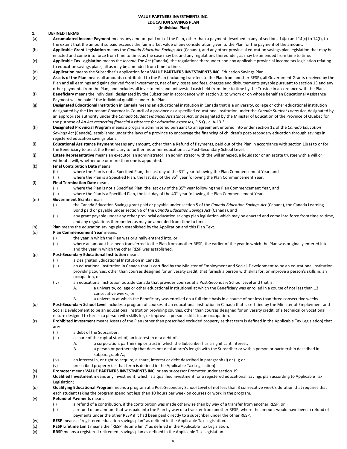#### **VALUE PARTNERS INVESTMENTS INC. EDUCATION SAVINGS PLAN (Individual Plan)**

#### **1. DEFINED TERMS**

- (a) **Accumulated Income Payment** means any amount paid out of the Plan, other than a payment described in any of sections 14(a) and 14(c) to 14(f), to the extent that the amount so paid exceeds the fair market value of any consideration given to the Plan for the payment of the amount.
- (b) **Applicable Grant Legislation** means the *Canada Education Savings Act* (Canada), and any other provincial education savings plan legislation that may be enacted and come into force from time to time, as the case may be, and any regulations thereunder, as may be amended from time to time.
- (c) **Applicable Tax Legislation** means the *Income Tax Act* (Canada), the regulations thereunder and any applicable provincial income tax legislation relating to education savings plans, all as may be amended from time to time.
- (d) **Application** means the Subscriber's application for a **VALUE PARTNERS INVESTMENTS INC.** Education Savings Plan.
- (e) **Assets of the Plan** means all amounts contributed to the Plan (including transfers to the Plan from another RESP), all Government Grants received by the Plan and all earnings and gains derived from investments, net of any losses and fees, charges and disbursements payable pursuant to section 13 and any other payments from the Plan, and includes all investments and uninvested cash held from time to time by the Trustee in accordance with the Plan.
- (f) **Beneficiary** means the individual, designated by the Subscriber in accordance with section 3; to whom or on whose behalf an Educational Assistance Payment will be paid if the individual qualifies under the Plan.
- (g) **Designated Educational Institution in Canada** means an educational institution in Canada that is a university, college or other educational institution designated by the Lieutenant Governor in Council of a province as a specified educational institution under the *Canada Student Loans Act*, designated by an appropriate authority under the *Canada Student Financial Assistance Act*, or designated by the Minister of Education of the Province of Quebec for the purpose of *An Act respecting financial assistance for education expenses*, R.S.Q., c. A-13.3.
- (h) **Designated Provincial Program** means a program administered pursuant to an agreement entered into under section 12 of the *Canada Education Savings Act* (Canada), established under the laws of a province to encourage the financing of children's post-secondary education through savings in registered education savings plans.
- (i) **Educational Assistance Payment** means any amount, other than a Refund of Payments, paid out of the Plan in accordance with section 10(a) to or for the Beneficiary to assist the Beneficiary to further his or her education at a Post-Secondary School Level.
- (j) **Estate Representative** means an executor, an administrator, an administrator with the will annexed, a liquidator or an estate trustee with a will or without a will, whether one or more than one is appointed.

#### (k) **Final Contribution Date** means

- (ii) where the Plan is not a Specified Plan, the last day of the  $31<sup>st</sup>$  year following the Plan Commencement Year, and
- (iii) where the Plan is a Specified Plan, the last day of the 35<sup>th</sup> year following the Plan Commencement Year.
- (l) **Final Termination Date** means
	- (ii) where the Plan is not a Specified Plan, the last day of the  $35<sup>th</sup>$  year following the Plan Commencement Year, and
	- (iii) where the Plan is a Specified Plan, the last day of the 40<sup>th</sup> year following the Plan Commencement Year.

#### (m) **Government Grants** mean

(i) the Canada Education Savings grant paid or payable under section 5 of the *Canada Education Savings Act* (Canada), the Canada Learning Bond paid or payable under section 6 of the *Canada Education Savings Act* (Canada), and

- (ii) any grant payable under any other provincial education savings plan legislation which may be enacted and come into force from time to time, and any regulations thereunder, as may be amended from time to time.
- (n) **Plan** means the education savings plan established by the Application and this Plan Text.

#### (o) **Plan Commencement Year** means:

- (i) the year in which the Plan was originally entered into, or
- (ii) where an amount has been transferred to the Plan from another RESP, the earlier of the year in which the Plan was originally entered into and the year in which the other RESP was established.

#### (p) **Post-Secondary Educational Institution** means:

- (ii) a Designated Educational Institution in Canada,
- (iii) an educational institution in Canada that is certified by the Minister of Employment and Social Development to be an educational institution providing courses, other than courses designed for university credit, that furnish a person with skills for, or improve a person's skills in, an occupation, or
- (iv) an educational institution outside Canada that provides courses at a Post-Secondary School Level and that is:
	- A. a university, college or other educational institutional at which the Beneficiary was enrolled in a course of not less than 13 consecutive weeks, or
		- a university at which the Beneficiary was enrolled on a full-time basis in a course of not less than three consecutive weeks.
- (q) **Post-Secondary School Level** includes a program of courses at an educational institution in Canada that is certified by the Minister of Employment and Social Development to be an educational institution providing courses, other than courses designed for university credit, of a technical or vocational nature designed to furnish a person with skills for, or improve a person's skills in, an occupation.
- (r) **Prohibited Investment** means Assets of the Plan (other than prescribed excluded property as that term is defined in the Applicable Tax Legislation) that are:
	- (ii) a debt of the Subscriber;
	- (iii) a share of the capital stock of, an interest in or a debt of:
		- A. a corporation, partnership or trust in which the Subscriber has a significant interest;
			- B. a person or partnership that does not deal at arm's length with the Subscriber or with a person or partnership described in subparagraph A.;
	- (iv) an interest in, or right to acquire, a share, interest or debt described in paragraph (i) or (ii); or
	- (v) prescribed property (as that term is defined in the Applicable Tax Legislation).
- (s) **Promoter** means **VALUE PARTNERS INVESTMENTS INC.** or any successor Promoter under section 19.
- (t) **Qualified Investment** means any investment, which is a qualified investment for a registered educational savings plan according to Applicable Tax Legislation;
- (u) **Qualifying Educational Program** means a program at a Post-Secondary School Level of not less than 3 consecutive week's duration that requires that each student taking the program spend not less than 10 hours per week on courses or work in the program.

#### (v) **Refund of Payments** means

- (i) a refund of a contribution, if the contribution was made otherwise than by way of a transfer from another RESP, or
- (ii) a refund of an amount that was paid into the Plan by way of a transfer from another RESP, where the amount would have been a refund of payments under the other RESP if it had been paid directly to a subscriber under the other RESP.
- (w) **RESP** means a "registered education savings plan" as defined in the Applicable Tax Legislation.
- (x) **RESP Lifetime Limit** means the "RESP lifetime limit" as defined in the Applicable Tax Legislation.
- (y) **RRSP** means a registered retirement savings plan as defined in the Applicable Tax Legislation.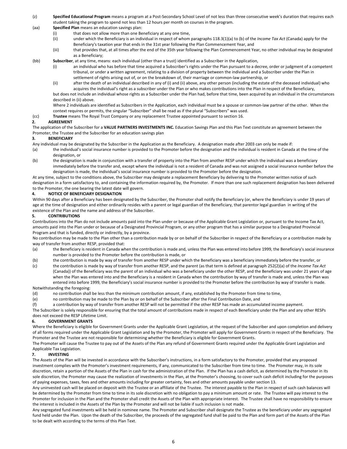- (z) **Specified Educational Program** means a program at a Post-Secondary School Level of not less than three consecutive week's duration that requires each student taking the program to spend not less than 12 hours per month on courses in the program.
- (aa) **Specified Plan** means an education savings plan:
	- (i) that does not allow more than one Beneficiary at any one time,
	- (ii) under which the Beneficiary is an individual in respect of whom paragraphs 118.3(1)(a) to (b) of the *Income Tax Act* (Canada) apply for the Beneficiary's taxation year that ends in the 31st year following the Plan Commencement Year, and
	- (iii) that provides that, at all times after the end of the 35th year following the Plan Commencement Year, no other individual may be designated as a Beneficiary;

#### (bb) **Subscriber**, at any time, means: each individual (other than a trust) identified as a Subscriber in the Application,

- (i) an individual who has before that time acquired a Subscriber's rights under the Plan pursuant to a decree, order or judgment of a competent tribunal, or under a written agreement, relating to a division of property between the individual and a Subscriber under the Plan in settlement of rights arising out of, or on the breakdown of, their marriage or common-law partnership, or
- (ii) after the death of an individual described in any of (i) and (ii) above, any other person (including the estate of the deceased individual) who acquires the individual's right as a subscriber under the Plan or who makes contributions into the Plan in respect of the Beneficiary,

but does not include an individual whose rights as a Subscriber under the Plan had, before that time, been acquired by an individual in the circumstances described in (ii) above.

Where 2 individuals are identified as Subscribers in the Application, each individual must be a spouse or common-law partner of the other. When the context requires or permits, the singular "Subscriber" shall be read as if the plural "Subscribers" was used.

(cc) **Trustee** means The Royal Trust Company or any replacement Trustee appointed pursuant to section 16.

#### **2. AGREEMENT**

The application of the Subscriber for a **VALUE PARTNERS INVESTMENTS INC.** Education Savings Plan and this Plan Text constitute an agreement between the Promoter, the Trustee and the Subscriber for an education savings plan

#### **3. BENEFICIARY**

Any individual may be designated by the Subscriber in the Application as the Beneficiary. A designation made after 2003 can only be made if:

- (a) the individual's social insurance number is provided to the Promoter before the designation and the individual is resident in Canada at the time of the designation, or
- (b) the designation is made in conjunction with a transfer of property into the Plan from another RESP under which the individual was a beneficiary immediately before the transfer and, except where the individual is not a resident of Canada and was not assigned a social insurance number before the designation is made, the individual's social insurance number is provided to the Promoter before the designation.

At any time, subject to the conditions above, the Subscriber may designate a replacement Beneficiary by delivering to the Promoter written notice of such designation in a form satisfactory to, and containing the information required by, the Promoter. If more than one such replacement designation has been delivered to the Promoter, the one bearing the latest date will govern.

#### **4. NOTICE OF BENEFICIARY DESIGNATION**

Within 90 days after a Beneficiary has been designated by the Subscriber, the Promoter shall notify the Beneficiary (or, where the Beneficiary is under 19 years of age at the time of designation and either ordinarily resides with a parent or legal guardian of the Beneficiary, that parentor legal guardian in writing of the existence of the Plan and the name and address of the Subscriber.

#### **5. CONTRIBUTIONS**

Contributions into the Plan do not include amounts paid into the Plan under or because of the Applicable Grant Legislation or, pursuant to the Income Tax Act, amounts paid into the Plan under or because of a Designated Provincial Program, or any other program that has a similar purpose to a Designated Provincial Program and that is funded, directly or indirectly, by a province.

No contribution may be made to the Plan other than a contribution made by or on behalf of the Subscriber in respect of the Beneficiary or a contribution made by way of transfer from another RESP, provided that:

- (a) the Beneficiary is resident in Canada when the contribution is made and, unless the Plan was entered into before 1999, the Beneficiary's social insurance number is provided to the Promoter before the contribution is made, or
- (b) the contribution is made by way of transfer from another RESP under which the Beneficiary was a beneficiary immediately before the transfer, or
- (c) the contribution is made by way of transfer from another RESP, and the parent (as that term is defined at paragraph 252(2)(a) of the *Income Tax Act* (Canada)) of the Beneficiary was the parent of an individual who was a beneficiary under the other RESP, and the Beneficiary was under 21 years of age when the Plan was entered into and the Beneficiary is a resident in Canada when the contribution by way of transfer is made and, unless the Plan was entered into before 1999, the Beneficiary's social insurance number is provided to the Promoter before the contribution by way of transfer is made.

#### Notwithstanding the foregoing:

(d) no contribution shall be less than the minimum contribution amount, if any, established by the Promoter from time to time,

(e) no contribution may be made to the Plan by or on behalf of the Subscriber after the Final Contribution Date, and

(f) a contribution by way of transfer from another RESP will not be permitted if the other RESP has made an accumulated income payment. The Subscriber is solely responsible for ensuring that the total amount of contributions made in respect of each Beneficiary under the Plan and any other RESPs does not exceed the RESP Lifetime Limit.

#### **6. GOVERNMENT GRANTS**

Where the Beneficiary is eligible for Government Grants under the Applicable Grant Legislation, at the request of the Subscriber and upon completion and delivery of all forms required under the Applicable Grant Legislation and by the Promoter, the Promoter will apply for Government Grants in respect of the Beneficiary. The Promoter and the Trustee are not responsible for determining whether the Beneficiary is eligible for Government Grants.

The Promoter will cause the Trustee to pay out of the Assets of the Plan any refund of Government Grants required under the Applicable Grant Legislation and Applicable Tax Legislation.

#### **7. INVESTING**

The Assets of the Plan will be invested in accordance with the Subscriber's instructions, in a form satisfactory to the Promoter, provided that any proposed investment complies with the Promoter's investment requirements, if any, communicated to the Subscriber from time to time. The Promoter may, in its sole discretion, retain a portion of the Assets of the Plan in cash for the administration of the Plan. If the Plan has a cash deficit, as determined by the Promoter in its sole discretion, the Promoter may cause the realization of investments in the Plan, at the Promoter's choosing, to cover such cash deficit including for the purposes of paying expenses, taxes, fees and other amounts including for greater certainty, fees and other amounts payable under section 13.

Any uninvested cash will be placed on deposit with the Trustee or an affiliate of the Trustee. The interest payable to the Plan in respect of such cash balances will be determined by the Promoter from time to time in its sole discretion with no obligation to pay a minimum amount or rate. The Trustee will pay interest to the Promoter for inclusion in the Plan and the Promoter shall credit the Assets of the Plan with appropriate interest. The Trustee shall have no responsibility to ensure the interest is included in the Assets of the Plan by the Promoter and will not be liable if such inclusion is not made.

Any segregated fund investments will be held in nominee name. The Promoter and Subscriber shall designate the Trustee as the beneficiary under any segregated fund held under the Plan. Upon the death of the Subscriber, the proceeds of the segregated fund shall be paid to the Plan and form part of the Assets of the Plan to be dealt with according to the terms of this Plan Text.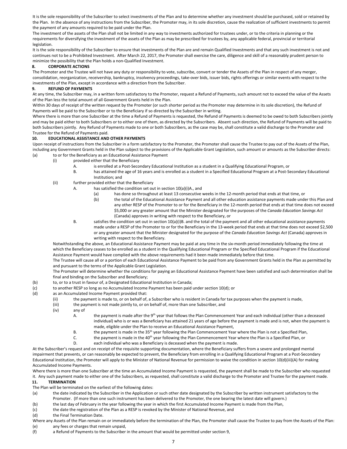It is the sole responsibility of the Subscriber to select investments of the Plan and to determine whether any investment should be purchased, sold or retained by the Plan. In the absence of any instructions from the Subscriber, the Promoter may, in its sole discretion, cause the realization of sufficient investments to permit the payment of any amounts required to be paid under the Plan.

The investment of the assets of the Plan shall not be limited in any way to investments authorized for trustees under, or to the criteria in planning or the requirements for diversifying the investment of the assets of the Plan as may be prescribed for trustees by, any applicable federal, provincial or territorial legislation.

It is the sole responsibility of the Subscriber to ensure that investments of the Plan are and remain Qualified Investments and that any such investment is not and continues not to be a Prohibited Investment. After March 22, 2017, the Promoter shall exercise the care, diligence and skill of a reasonably prudent person to minimize the possibility that the Plan holds a non-Qualified Investment.

#### **8. CORPORATE ACTIONS**

The Promoter and the Trustee will not have any duty or responsibility to vote, subscribe, convert or tender the Assets of the Plan in respect of any merger, consolidation, reorganization, receivership, bankruptcy, insolvency proceedings, take-over bids, issuer bids, rights offerings or similar events with respect to the investments of the Plan, except in accordance with a direction from the Subscriber.

#### **9. REFUND OF PAYMENTS**

At any time, the Subscriber may, in a written form satisfactory to the Promoter, request a Refund of Payments, such amount not to exceed the value of the Assets of the Plan less the total amount of all Government Grants held in the Plan.

Within 30 days of receipt of the written request by the Promoter (or such shorter period as the Promoter may determine in its sole discretion), the Refund of Payments will be paid to the Subscriber or to the Beneficiary if so directed by the Subscriber in writing.

Where there is more than one Subscriber at the time a Refund of Payments is requested, the Refund of Payments is deemed to be owed to both Subscribers jointly and may be paid either to both Subscribers or to either one of them, as directed by the Subscribers. Absent such direction, the Refund of Payments will be paid to both Subscribers jointly. Any Refund of Payments made to one or both Subscribers, as the case may be, shall constitute a valid discharge to the Promoter and Trustee for the Refund of Payments paid.

#### **10. EDUCATIONAL ASSISTANCE AND OTHER PAYMENTS**

Upon receipt of instructions from the Subscriber in a form satisfactory to the Promoter, the Promoter shall cause the Trustee to pay out of the Assets of the Plan, including any Government Grants held in the Plan subject to the provisions of the Applicable Grant Legislation, such amount or amounts as the Subscriber directs: (a) to or for the Beneficiary as an Educational Assistance Payment

- (i) provided either that the Beneficiary
	- A. is enrolled at a Post-Secondary Educational Institution as a student in a Qualifying Educational Program, or
	- B. has attained the age of 16 years and is enrolled as a student in a Specified Educational Program at a Post-Secondary Educational Institution; and
- (ii) further provided either that the Beneficiary
	- A. has satisfied the condition set out in section 10(a)(i)A., and
		- (a) has done so throughout at least 13 consecutive weeks in the 12-month period that ends at that time, or
		- (b) the total of the Educational Assistance Payment and all other education assistance payments made under this Plan and any other RESP of the Promoter to or for the Beneficiary in the 12-month period that ends at that time does not exceed \$5,000 or any greater amount that the Minister designated for the purposes of the *Canada Education Savings Act* (Canada) approves in writing with respect to the Beneficiary, or
	- B. satisfies the condition set out in section 10(a)(i)B. and the total of the payment and all other educational assistance payments made under a RESP of the Promoter to or for the Beneficiary in the 13-week period that ends at that time does not exceed \$2,500 or any greater amount that the Minister designated for the purpose of the *Canada Education Savings Act* (Canada) approves in writing with respect to the Beneficiary.

Notwithstanding the above, an Educational Assistance Payment may be paid at any time in the six-month period immediately following the time at which the Beneficiary ceases to be enrolled as a student in the Qualifying Educational Program or the Specified Educational Program if the Educational Assistance Payment would have complied with the above requirements had it been made immediately before that time.

The Trustee will cause all or a portion of each Educational Assistance Payment to be paid from any Government Grants held in the Plan as permitted by and pursuant to the terms of the Applicable Grant Legislation.

The Promoter will determine whether the conditions for paying an Educational Assistance Payment have been satisfied and such determination shall be final and binding on the Subscriber and Beneficiary;

- (b) to, or to a trust in favour of, a Designated Educational Institution in Canada;
- (c) to another RESP so long as no Accumulated Income Payment has been paid under section 10(d); or
- (d) as an Accumulated Income Payment provided that:
	- (ii) the payment is made to, or on behalf of, a Subscriber who is resident in Canada for tax purposes when the payment is made,
	- (iii) the payment is not made jointly to, or on behalf of, more than one Subscriber, and
	- (iv) any of
		- A. the payment is made after the 9<sup>th</sup> year that follows the Plan Commencement Year and each individual (other than a deceased individual) who is or was a Beneficiary has attained 21 years of age before the payment is made and is not, when the payment is made, eligible under the Plan to receive an Educational Assistance Payment,
		- B. the payment is made in the 35<sup>th</sup> year following the Plan Commencement Year where the Plan is not a Specified Plan,
		- C. the payment is made in the 40<sup>th</sup> year following the Plan Commencement Year where the Plan is a Specified Plan, or
		- D. each individual who was a Beneficiary is deceased when the payment is made.

At the Subscriber's request and on receipt of the requisite supporting documentation, where the Beneficiary suffers from a severe and prolonged mental impairment that prevents, or can reasonably be expected to prevent, the Beneficiary from enrolling in a Qualifying Educational Program at a Post-Secondary Educational Institution, the Promoter will apply to the Minister of National Revenue for permission to waive the condition in section 10(d)(iii)(A) for making Accumulated Income Payments.

Where there is more than one Subscriber at the time an Accumulated Income Payment is requested, the payment shall be made to the Subscriber who requested it. Any such payment made to either one of the Subscribers, as requested, shall constitute a valid discharge to the Promoter and Trustee for the payment made.

#### **11. TERMINATION**

The Plan will be terminated on the earliest of the following dates:

- (a) the date indicated by the Subscriber in the Application or such other date designated by the Subscriber by written instrument satisfactory to the Promoter. (If more than one such instrument has been delivered to the Promoter, the one bearing the latest date will govern.)
- (b) the last day of February in the year following the year in which the first Accumulated Income Payment is made from the Plan,
- (c) the date the registration of the Plan as a RESP is revoked by the Minister of National Revenue, and
- (d) the Final Termination Date.
- Where any Assets of the Plan remain on or immediately before the termination of the Plan, the Promoter shall cause the Trustee to pay from the Assets of the Plan: (e) any fees or charges that remain unpaid,
- (f) a Refund of Payments to the Subscriber in the amount that would be permitted under section 9,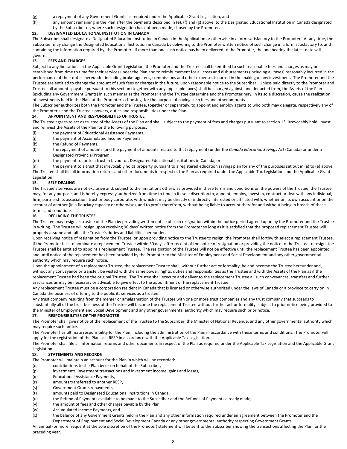- (g) a repayment of any Government Grants as required under the Applicable Grant Legislation, and
- (h) any amount remaining in the Plan after the payments described in (e), (f) and (g) above, to the Designated Educational Institution in Canada designated by the Subscriber or, where such designation has not been made, chosen by the Promoter.

#### **12. DESIGNATED EDUCATIONAL INSTITUTION IN CANADA**

The Subscriber shall designate a Designated Education Institution in Canada in the Application or otherwise in a form satisfactory to the Promoter. At any time, the Subscriber may change the Designated Educational Institution in Canada by delivering to the Promoter written notice of such change in a form satisfactory to, and containing the information required by, the Promoter. If more than one such notice has been delivered to the Promoter, the one bearing the latest date will govern.

#### **13. FEES AND CHARGES**

Subject to any limitations in the Applicable Grant Legislation, the Promoter and the Trustee shall be entitled to such reasonable fees and charges as may be established from time to time for their services under the Plan and to reimbursement for all costs and disbursements (including all taxes) reasonably incurred in the performance of their duties hereunder including brokerage fees, commissions and other expenses incurred in the making of any investment. The Promoter and the Trustee are entitled to change the amount of such fees or charges in the future, upon reasonable notice to the Subscriber. Unless paid directly to the Promoter and Trustee, all amounts payable pursuant to this section (together with any applicable taxes) shall be charged against, and deducted from, the Assets of the Plan (excluding any Government Grants) in such manner as the Promoter and the Trustee determine and the Promoter may, in its sole discretion, cause the realization of investments held in the Plan, at the Promoter's choosing, for the purpose of paying such fees and other amounts.

The Subscriber authorizes both the Promoter and the Trustee, together or separately, to appoint and employ agents to who both may delegate, respectively any of the Promoter's and the Trustee's powers, duties and responsibilities under the Plan.

#### **14. APPOINTMENT AND RESPONSIBILITIES OF TRUSTEE**

The Trustee agrees to act as trustee of the Assets of the Plan and shall, subject to the payment of fees and charges pursuant to section 13, irrevocably hold, invest and reinvest the Assets of the Plan for the following purposes:

- (i) the payment of Educational Assistance Payments,
- (j) the payment of Accumulated Income Payments,
- (k) the Refund of Payments,
- (l) the repayment of amounts (and the payment of amounts related to that repayment) under the *Canada Education Savings Act* (Canada) or under a Designated Provincial Program,
- (m) the payment to, or to a trust in favour of, Designated Educational Institutions in Canada, or

(n) the payment to a trust that irrevocably holds property pursuant to a registered education savings plan for any of the purposes set out in (a) to (e) above. The Trustee shall file all information returns and other documents in respect of the Plan as required under the Applicable Tax Legislation and the Applicable Grant Legislation.

#### **15. SELF-DEALING**

The Trustee's services are not exclusive and, subject to the limitations otherwise provided in these terms and conditions on the powers of the Trustee, the Trustee may, for any purpose, and is hereby expressly authorized from time to time in its sole discretion to, appoint, employ, invest in, contract or deal with any individual, firm, partnership, association, trust or body corporate, with which it may be directly or indirectly interested or affiliated with, whether on its own account or on the account of another (in a fiduciary capacity or otherwise), and to profit therefrom, without being liable to account therefor and without being in breach of these terms and conditions.

#### **16. REPLACING THE TRUSTEE**

The Trustee may resign as trustee of the Plan by providing written notice of such resignation within the notice period agreed upon by the Promoter and the Trustee in writing. The Trustee will resign upon receiving 90 days' written notice from the Promoter so long as it is satisfied that the proposed replacement Trustee will properly assume and fulfill the Trustee's duties and liabilities hereunder.

Upon receiving notice of resignation from the Trustee, or upon providing notice to the Trustee to resign, the Promoter shall forthwith select a replacement Trustee. If the Promoter fails to nominate a replacement Trustee within 30 days after receipt of the notice of resignation or providing the notice to the Trustee to resign, the Trustee shall be entitled to appoint a replacement Trustee. The resignation of the Trustee will not be effective until the replacement Trustee has been appointed and until notice of the replacement has been provided by the Promoter to the Minister of Employment and Social Development and any other governmental authority which may require such notice.

Upon the appointment of a replacement Trustee, the replacement Trustee shall, without further act or formality, be and become the Trustee hereunder and, without any conveyance or transfer, be vested with the same power, rights, duties and responsibilities as the Trustee and with the Assets of the Plan as if the replacement Trustee had been the original Trustee. The Trustee shall execute and deliver to the replacement Trustee all such conveyances, transfers and further assurances as may be necessary or advisable to give effect to the appointment of the replacement Trustee.

Any replacement Trustee must be a corporation resident in Canada that is licensed or otherwise authorized under the laws of Canada or a province to carry on in Canada the business of offering to the public its services as a trustee.

Any trust company resulting from the merger or amalgamation of the Trustee with one or more trust companies and any trust company that succeeds to substantially all of the trust business of the Trustee will become the replacement Trustee without further act or formality, subject to prior notice being provided to the Minister of Employment and Social Development and any other governmental authority which may require such prior notice.

#### **17. RESPONSIBILITIES OF THE PROMOTER**

The Promoter shall give notice of the replacement of the Trustee to the Subscriber, the Minister of National Revenue, and any other governmental authority which may require such notice.

The Promoter has ultimate responsibility for the Plan, including the administration of the Plan in accordance with these terms and conditions. The Promoter will apply for the registration of the Plan as a RESP in accordance with the Applicable Tax Legislation.

The Promoter shall file all information returns and other documents in respect of the Plan as required under the Applicable Tax Legislation and the Applicable Grant Legislation.

#### **18. STATEMENTS AND RECORDS**

The Promoter will maintain an account for the Plan in which will be recorded:

- (o) contributions to the Plan by or on behalf of the Subscriber,
- (p) investments, investment transactions and investment income, gains and losses,
- (q) Educational Assistance Payments,
- (r) amounts transferred to another RESP,
- (s) Government Grants repayments,
- (t) amounts paid to Designated Educational Institutions in Canada,
- (u) the Refund of Payments available to be made to the Subscriber and the Refunds of Payments already made,
- (v) the amount of fees and other charges payable by the Plan,
- (w) Accumulated Income Payments, and
- (x) the balance of any Government Grants held in the Plan and any other information required under an agreement between the Promoter and the Department of Employment and Social Development Canada or any other governmental authority respecting Government Grants.

An annual (or more frequent at the sole discretion of the Promoter) statement will be sent to the Subscriber showing the transactions affecting the Plan for the preceding year.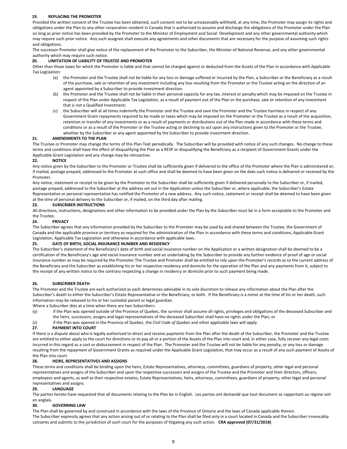#### **19. REPLACING THE PROMOTER**

Provided the written consent of the Trustee has been obtained, such consent not to be unreasonably withheld, at any time, the Promoter may assign its rights and obligations under the Plan to any other corporation resident in Canada that is authorized to assume and discharge the obligations of the Promoter under the Plan so long as prior notice has been provided by the Promoter to the Minister of Employment and Social Development and any other governmental authority which may require such prior notice. Any such assignee shall execute any agreements and other documents that are necessary for the purpose of assuming such rights and obligations.

The successor Promoter shall give notice of the replacement of the Promoter to the Subscriber, the Minister of National Revenue, and any other governmental authority which may require such notice.

#### **20. LIMITATION OF LIABILITY OF TRUSTEE AND PROMOTER**

Other than those taxes for which the Promoter is liable and that cannot be charged against or deducted from the Assets of the Plan in accordance with Applicable Tax Legislation:

- (a) the Promoter and the Trustee shall not be liable for any loss or damage suffered or incurred by the Plan, a Subscriber or the Beneficiary as a result of the purchase, sale or retention of any investment including any loss resulting from the Promoter or the Trustee acting on the direction of an agent appointed by a Subscriber to provide investment direction.
- (b) the Promoter and the Trustee shall not be liable in their personal capacity for any tax, interest or penalty which may be imposed on the Trustee in respect of the Plan under Applicable Tax Legislation, as a result of payment out of the Plan or the purchase, sale or retention of any investment that is not a Qualified Investment;
- (c) the Subscriber will at all times indemnify the Promoter and the Trustee and save the Promoter and the Trustee harmless in respect of any Government Grant repayments required to be made or taxes which may be imposed on the Promoter or the Trustee as a result of the acquisition, retention or transfer of any investments or as a result of payments or distributions out of the Plan made in accordance with these terms and conditions or as a result of the Promoter or the Trustee acting or declining to act upon any instructions given to the Promoter or the Trustee, whether by the Subscriber or any agent appointed by the Subscriber to provide investment direction.

#### **21. AMENDMENTS TO THE PLAN**

The Trustee or Promoter may change the terms of this Plan Text periodically. The Subscriber will be provided with notice of any such changes. No change to these terms and conditions shall have the effect of disqualifying the Plan as a RESP or disqualifying the Beneficiary as a recipient of Government Grants under the Applicable Grant Legislation and any change may be retroactive.

#### **22. NOTICE**

Any notice given by the Subscriber to the Promoter or Trustee shall be sufficiently given if delivered to the office of the Promoter where the Plan is administered or, if mailed, postage prepaid, addressed to the Promoter at such office and shall be deemed to have been given on the date such notice is delivered or received by the Promoter.

Any notice, statement or receipt to be given by the Promoter to the Subscriber shall be sufficiently given if delivered personally to the Subscriber or, if mailed, postage prepaid, addressed to the Subscriber at the address set out in the Application unless the Subscriber or, where applicable, the Subscriber's Estate Representative or personal representative has notified the Promoter of a new address. Any such notice, statement or receipt shall be deemed to have been given at the time of personal delivery to the Subscriber or, if mailed, on the third day after mailing.

#### **23. SUBSCRIBER INSTRUCTIONS**

All directions, instructions, designations and other information to be provided under the Plan by the Subscriber must be in a form acceptable to the Promoter and the Trustee.

#### **24. PRIVACY**

The Subscriber agrees that any information provided by the Subscriber to the Promoter may be used by and shared between the Trustee, the Government of Canada and the applicable province or territory as required for the administration of the Plan in accordance with these terms and conditions, Applicable Grant Legislation, Applicable Tax Legislation and otherwise in accordance with applicable laws.

#### **25. DATE OF BIRTH, SOCIAL INSURANCE NUMBER AND RESIDENCY**

The Subscriber's statement of the Beneficiary's date of birth and social insurance number on the Application or a written designation shall be deemed to be a certification of the Beneficiary's age and social insurance number and an undertaking by the Subscriber to provide any further evidence of proof of age or social insurance number as may be required by the Promoter.The Trustee and Promoter shall be entitled to rely upon the Promoter's records as to the current address of the Beneficiary and the Subscriber as establishing his or her respective residency and domicile for the operation of the Plan and any payments from it, subject to the receipt of any written notice to the contrary respecting a change in residency or domicile prior to such payment being made.

#### **26. SUBSCRIBER DEATH**

The Promoter and the Trustee are each authorized as each determines advisable in its sole discretion to release any information about the Plan after the Subscriber's death to either the Subscriber's Estate Representative or the Beneficiary, or both. If the Beneficiary is a minor at the time of his or her death, such information may be released to his or her custodial parent or legal guardian.

Where a Subscriber dies at a time when there are two Subscribers:

- (y) if the Plan was opened outside of the Province of Quebec, the survivor shall assume all rights, privileges and obligations of the deceased Subscriber and the heirs, successors, assigns and legal representatives of the deceased Subscriber shall have no rights under the Plan; or
- (z) if the Plan was opened in the Province of Quebec, the *Civil Code of Quebec* and other applicable laws will apply.

#### **27. PAYMENT INTO COURT**

If there is a dispute about who is legally authorized to direct and receive payments from the Plan after the death of the Subscriber, the Promoter and the Trustee are entitled to either apply to the court for directions or to pay all or a portion of the Assets of the Plan into court and, in either case, fully recover any legal costs incurred in this regard as a cost or disbursement in respect of the Plan. The Promoter and the Trustee will not be liable for any penalty, or any loss or damage resulting from the repayment of Government Grants as required under the Applicable Grant Legislation, that may occur as a result of any such payment of Assets of the Plan into court.

#### **28. HEIRS, REPRESENTATIVES AND ASSIGNS**

These terms and conditions shall be binding upon the heirs, Estate Representatives, attorneys, committees, guardians of property, other legal and personal representatives and assigns of the Subscriber and upon the respective successors and assigns of the Trustee and the Promoter and their directors, officers, employees and agents, as well as their respective estates, Estate Representatives, heirs, attorneys, committees, guardians of property, other legal and personal representatives and assigns.

#### **29. LANGUAGE**

The parties hereto have requested that all documents relating to the Plan be in English. Les parties ont demandé que tout document se rapportant au régime soit en anglais.

#### **30. GOVERNING LAW**

The Plan shall be governed by and construed in accordance with the laws of the Province of Ontario and the laws of Canada applicable therein. The Subscriber expressly agrees that any action arising out of or relating to the Plan shall be filed only in a court located in Canada and the Subscriber irrevocably consents and submits to the jurisdiction of such court for the purposes of litigating any such action. **CRA approved (07/31/2018)**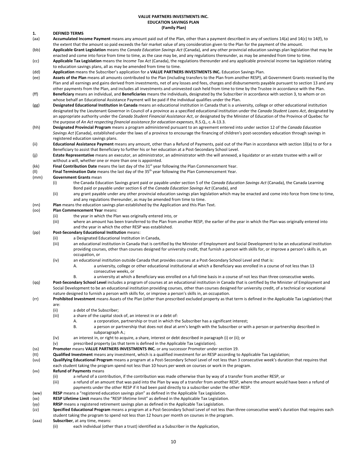#### **VALUE PARTNERS INVESTMENTS INC. EDUCATION SAVINGS PLAN (Family Plan)**

#### **1. DEFINED TERMS**

- (aa) **Accumulated Income Payment** means any amount paid out of the Plan, other than a payment described in any of sections 14(a) and 14(c) to 14(f), to the extent that the amount so paid exceeds the fair market value of any consideration given to the Plan for the payment of the amount.
- (bb) **Applicable Grant Legislation** means the *Canada Education Savings Act* (Canada), and any other provincial education savings plan legislation that may be enacted and come into force from time to time, as the case may be, and any regulations thereunder, as may be amended from time to time.
- (cc) **Applicable Tax Legislation** means the *Income Tax Act* (Canada), the regulations thereunder and any applicable provincial income tax legislation relating to education savings plans, all as may be amended from time to time.
- (dd) **Application** means the Subscriber's application for a **VALUE PARTNERS INVESTMENTS INC.** Education Savings Plan.
- (ee) **Assets of the Plan** means all amounts contributed to the Plan (including transfers to the Plan from another RESP), all Government Grants received by the Plan and all earnings and gains derived from investments, net of any losses and fees, charges and disbursements payable pursuant to section 13 and any other payments from the Plan, and includes all investments and uninvested cash held from time to time by the Trustee in accordance with the Plan.
- (ff) **Beneficiary** means an individual, and **Beneficiaries** means the individuals, designated by the Subscriber in accordance with section 3, to whom or on whose behalf an Educational Assistance Payment will be paid if the individual qualifies under the Plan.
- (gg) **Designated Educational Institution in Canada** means an educational institution in Canada that is a university, college or other educational institution designated by the Lieutenant Governor in Council of a province as a specified educational institution under the *Canada Student Loans Act*, designated by an appropriate authority under the *Canada Student Financial Assistance Act*, or designated by the Minister of Education of the Province of Quebec for the purpose of *An Act respecting financial assistance for education expenses*, R.S.Q., c. A-13.3.
- (hh) **Designated Provincial Program** means a program administered pursuant to an agreement entered into under section 12 of the *Canada Education Savings Act* (Canada), established under the laws of a province to encourage the financing of children's post-secondary education through savings in registered education savings plans.
- (ii) **Educational Assistance Payment** means any amount, other than a Refund of Payments, paid out of the Plan in accordance with section 10(a) to or for a Beneficiary to assist that Beneficiary to further his or her education at a Post-Secondary School Level.
- (jj) **Estate Representative** means an executor, an administrator, an administrator with the will annexed, a liquidator or an estate trustee with a will or without a will, whether one or more than one is appointed.
- (kk) **Final Contribution Date** means the last day of the 31st year following the Plan Commencement Year.
- (ll) **Final Termination Date** means the last day of the 35th year following the Plan Commencement Year.

#### (mm) **Government Grants** mean

- (i) the Canada Education Savings grant paid or payable under section 5 of the *Canada Education Savings Act* (Canada), the Canada Learning Bond paid or payable under section 6 of the *Canada Education Savings Act* (Canada), and
- (ii) any grant payable under any other provincial education savings plan legislation which may be enacted and come into force from time to time, and any regulations thereunder, as may be amended from time to time.
- (nn) **Plan** means the education savings plan established by the Application and this Plan Text.

#### (oo) **Plan Commencement Year** means:

- (ii) the year in which the Plan was originally entered into, or
- (iii) where an amount has been transferred to the Plan from another RESP, the earlier of the year in which the Plan was originally entered into and the year in which the other RESP was established.

#### (pp) **Post-Secondary Educational Institution** means:

- (ii) a Designated Educational Institution in Canada,
	- (iii) an educational institution in Canada that is certified by the Minister of Employment and Social Development to be an educational institution providing courses, other than courses designed for university credit, that furnish a person with skills for, or improve a person's skills in, an occupation, or
	- (iv) an educational institution outside Canada that provides courses at a Post-Secondary School Level and that is:
		- A. a university, college or other educational institutional at which a Beneficiary was enrolled in a course of not less than 13 consecutive weeks, or
		- B. a university at which a Beneficiary was enrolled on a full-time basis in a course of not less than three consecutive weeks.
- (qq) **Post-Secondary School Level** includes a program of courses at an educational institution in Canada that is certified by the Minister of Employment and Social Development to be an educational institution providing courses, other than courses designed for university credit, of a technical or vocational nature designed to furnish a person with skills for, or improve a person's skills in, an occupation.
- (rr) **Prohibited Investment** means Assets of the Plan (other than prescribed excluded property as that term is defined in the Applicable Tax Legislation) that are:
	- (ii) a debt of the Subscriber;
	- (iii) a share of the capital stock of, an interest in or a debt of:
		-
		- A. a corporation, partnership or trust in which the Subscriber has a significant interest;<br>B. a person or partnership that does not deal at arm's length with the Subscriber or wit a person or partnership that does not deal at arm's length with the Subscriber or with a person or partnership described in subparagraph A.;
	- (iv) an interest in, or right to acquire, a share, interest or debt described in paragraph (i) or (ii); or
	- (v) prescribed property (as that term is defined in the Applicable Tax Legislation).
- (ss) **Promoter** means **VALUE PARTNERS INVESTMENTS INC.** or any successor Promoter under section 19.
- (tt) **Qualified Investment** means any investment, which is a qualified investment for an RESP according to Applicable Tax Legislation;
- (uu) **Qualifying Educational Program** means a program at a Post-Secondary School Level of not less than 3 consecutive week's duration that requires that each student taking the program spend not less than 10 hours per week on courses or work in the program.
- (vv) **Refund of Payments** means
	- (ii) a refund of a contribution, if the contribution was made otherwise than by way of a transfer from another RESP, or
		- (iii) a refund of an amount that was paid into the Plan by way of a transfer from another RESP, where the amount would have been a refund of payments under the other RESP if it had been paid directly to a subscriber under the other RESP.
- (ww) **RESP** means a "registered education savings plan" as defined in the Applicable Tax Legislation.
- (xx) **RESP Lifetime Limit** means the "RESP lifetime limit" as defined in the Applicable Tax Legislation.
- (yy) **RRSP** means a registered retirement savings plan as defined in the Applicable Tax Legislation.
- (zz) **Specified Educational Program** means a program at a Post-Secondary School Level of not less than three consecutive week's duration that requires each student taking the program to spend not less than 12 hours per month on courses in the program.
- (aaa) **Subscriber**, at any time, means:
	- (ii) each individual (other than a trust) identified as a Subscriber in the Application,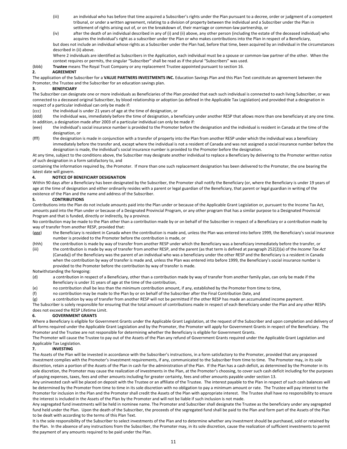- (iii) an individual who has before that time acquired a Subscriber's rights under the Plan pursuant to a decree, order or judgment of a competent tribunal, or under a written agreement, relating to a division of property between the individual and a Subscriber under the Plan in settlement of rights arising out of, or on the breakdown of, their marriage or common-law partnership, or
- (iv) after the death of an individual described in any of (i) and (ii) above, any other person (including the estate of the deceased individual) who acquires the individual's right as a subscriber under the Plan or who makes contributions into the Plan in respect of a Beneficiary,

but does not include an individual whose rights as a Subscriber under the Plan had, before that time, been acquired by an individual in the circumstances described in (ii) above.

Where 2 individuals are identified as Subscribers in the Application, each individual must be a spouse or common-law partner of the other. When the context requires or permits, the singular "Subscriber" shall be read as if the plural "Subscribers" was used.

(bbb) **Trustee** means The Royal Trust Company or any replacement Trustee appointed pursuant to section 16.

#### **2. AGREEMENT**

The application of the Subscriber for a **VALUE PARTNERS INVESTMENTS INC.** Education Savings Plan and this Plan Text constitute an agreement between the Promoter, the Trustee and the Subscriber for an education savings plan.

#### **3. BENEFICIARY**

The Subscriber can designate one or more individuals as Beneficiaries of the Plan provided that each such individual is connected to each living Subscriber, or was connected to a deceased original Subscriber, by blood relationship or adoption (as defined in the Applicable Tax Legislation) and provided that a designation in respect of a particular individual can only be made if:

(ccc) the individual is under 21 years of age at the time of designation, or

- (ddd) the individual was, immediately before the time of designation, a beneficiary under another RESP that allows more than one beneficiary at any one time. In addition, a designation made after 2003 of a particular individual can only be made if:
- (eee) the individual's social insurance number is provided to the Promoter before the designation and the individual is resident in Canada at the time of the designation, or
- (fff) the designation is made in conjunction with a transfer of property into the Plan from another RESP under which the individual was a beneficiary immediately before the transfer and, except where the individual is not a resident of Canada and was not assigned a social insurance number before the designation is made, the individual's social insurance number is provided to the Promoter before the designation.

At any time, subject to the conditions above, the Subscriber may designate another individual to replace a Beneficiary by delivering to the Promoter written notice of such designation in a form satisfactory to, and

containing the information required by, the Promoter. If more than one such replacement designation has been delivered to the Promoter, the one bearing the latest date will govern.

#### **4. NOTICE OF BENEFICIARY DESIGNATION**

Within 90 days after a Beneficiary has been designated by the Subscriber, the Promoter shall notify the Beneficiary (or, where the Beneficiary is under 19 years of age at the time of designation and either ordinarily resides with a parent or legal guardian of the Beneficiary, that parent or legal guardian in writing of the existence of the Plan and the name and address of the Subscriber.

#### **5. CONTRIBUTIONS**

Contributions into the Plan do not include amounts paid into the Plan under or because of the Applicable Grant Legislation or, pursuant to the Income Tax Act, amounts paid into the Plan under or because of a Designated Provincial Program, or any other program that has a similar purpose to a Designated Provincial Program and that is funded, directly or indirectly, by a province.

No contribution may be made to the Plan other than a contribution made by or on behalf of the Subscriber in respect of a Beneficiary or a contribution made by way of transfer from another RESP, provided that:

(ggg) the Beneficiary is resident in Canada when the contribution is made and, unless the Plan was entered into before 1999, the Beneficiary's social insurance number is provided to the Promoter before the contribution is made, or

(hhh) the contribution is made by way of transfer from another RESP under which the Beneficiary was a beneficiary immediately before the transfer, or

(iii) the contribution is made by way of transfer from another RESP, and the parent (as that term is defined at paragraph 252(2)(a) of the *Income Tax Act* (Canada)) of the Beneficiary was the parent of an individual who was a beneficiary under the other RESP and the Beneficiary is a resident in Canada when the contribution by way of transfer is made and, unless the Plan was entered into before 1999, the Beneficiary's social insurance number is provided to the Promoter before the contribution by way of transfer is made.

#### Notwithstanding the foregoing:

- (d) a contribution in respect of a Beneficiary, other than a contribution made by way of transfer from another family plan, can only be made if the Beneficiary is under 31 years of age at the time of the contribution,
- (e) no contribution shall be less than the minimum contribution amount, if any, established by the Promoter from time to time,
- (f) no contribution may be made to the Plan by or on behalf of the Subscriber after the Final Contribution Date, and
- (g) a contribution by way of transfer from another RESP will not be permitted if the other RESP has made an accumulated income payment.

The Subscriber is solely responsible for ensuring that the total amount of contributions made in respect of each Beneficiary under the Plan and any other RESPs does not exceed the RESP Lifetime Limit.

#### **6. GOVERNMENT GRANTS**

Where a Beneficiary is eligible for Government Grants under the Applicable Grant Legislation, at the request of the Subscriber and upon completion and delivery of all forms required under the Applicable Grant Legislation and by the Promoter, the Promoter will apply for Government Grants in respect of the Beneficiary. The Promoter and the Trustee are not responsible for determining whether the Beneficiary is eligible for Government Grants.

The Promoter will cause the Trustee to pay out of the Assets of the Plan any refund of Government Grants required under the Applicable Grant Legislation and Applicable Tax Legislation.

#### **7. INVESTING**

The Assets of the Plan will be invested in accordance with the Subscriber's instructions, in a form satisfactory to the Promoter, provided that any proposed investment complies with the Promoter's investment requirements, if any, communicated to the Subscriber from time to time. The Promoter may, in its sole discretion, retain a portion of the Assets of the Plan in cash for the administration of the Plan. If the Plan has a cash deficit, as determined by the Promoter in its sole discretion, the Promoter may cause the realization of investments in the Plan, at the Promoter's choosing, to cover such cash deficit including for the purposes of paying expenses, taxes, fees and other amounts including for greater certainty, fees and other amounts payable under section 13.

Any uninvested cash will be placed on deposit with the Trustee or an affiliate of the Trustee. The interest payable to the Plan in respect of such cash balances will be determined by the Promoter from time to time in its sole discretion with no obligation to pay a minimum amount or rate. The Trustee will pay interest to the Promoter for inclusion in the Plan and the Promoter shall credit the Assets of the Plan with appropriate interest. The Trustee shall have no responsibility to ensure the interest is included in the Assets of the Plan by the Promoter and will not be liable if such inclusion is not made.

Any segregated fund investments will be held in nominee name. The Promoter and Subscriber shall designate the Trustee as the beneficiary under any segregated fund held under the Plan. Upon the death of the Subscriber, the proceeds of the segregated fund shall be paid to the Plan and form part of the Assets of the Plan to be dealt with according to the terms of this Plan Text.

It is the sole responsibility of the Subscriber to select investments of the Plan and to determine whether any investment should be purchased, sold or retained by the Plan. In the absence of any instructions from the Subscriber, the Promoter may, in its sole discretion, cause the realization of sufficient investments to permit the payment of any amounts required to be paid under the Plan.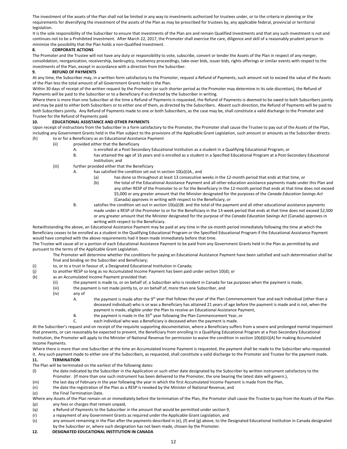The investment of the assets of the Plan shall not be limited in any way to investments authorized for trustees under, or to the criteria in planning or the requirements for diversifying the investment of the assets of the Plan as may be prescribed for trustees by, any applicable federal, provincial or territorial legislation.

It is the sole responsibility of the Subscriber to ensure that investments of the Plan are and remain Qualified Investments and that any such investment is not and continues not to be a Prohibited Investment. After March 22, 2017, the Promoter shall exercise the care, diligence and skill of a reasonably prudent person to minimize the possibility that the Plan holds a non-Qualified Investment.

#### **8. CORPORATE ACTIONS**

The Promoter and the Trustee will not have any duty or responsibility to vote, subscribe, convert or tender the Assets of the Plan in respect of any merger, consolidation, reorganization, receivership, bankruptcy, insolvency proceedings, take-over bids, issuer bids, rights offerings or similar events with respect to the investments of the Plan, except in accordance with a direction from the Subscriber.

#### **9. REFUND OF PAYMENTS**

At any time, the Subscriber may, in a written form satisfactory to the Promoter, request a Refund of Payments, such amount not to exceed the value of the Assets of the Plan less the total amount of all Government Grants held in the Plan.

Within 30 days of receipt of the written request by the Promoter (or such shorter period as the Promoter may determine in its sole discretion), the Refund of Payments will be paid to the Subscriber or to a Beneficiary if so directed by the Subscriber in writing.

Where there is more than one Subscriber at the time a Refund of Payments is requested, the Refund of Payments is deemed to be owed to both Subscribers jointly and may be paid to either both Subscribers or to either one of them, as directed by the Subscribers. Absent such direction, the Refund of Payments will be paid to both Subscribers jointly. Any Refund of Payments made to one or both Subscribers, as the case may be, shall constitute a valid discharge to the Promoter and Trustee for the Refund of Payments paid.

#### **10. EDUCATIONAL ASSISTANCE AND OTHER PAYMENTS**

Upon receipt of instructions from the Subscriber in a form satisfactory to the Promoter, the Promoter shall cause the Trustee to pay out of the Assets of the Plan, including any Government Grants held in the Plan subject to the provisions of the Applicable Grant Legislation, such amount or amounts as the Subscriber directs: (h) to or for a Beneficiary as an Educational Assistance Payment

- (ii) provided either that the Beneficiary
	- A. is enrolled at a Post-Secondary Educational Institution as a student in a Qualifying Educational Program, or
	- B. has attained the age of 16 years and is enrolled as a student in a Specified Educational Program at a Post-Secondary Educational Institution; and
	- (iii) further provided either that the Beneficiary
		- has satisfied the condition set out in section 10(a)(i)A., and
			- (a) has done so throughout at least 13 consecutive weeks in the 12-month period that ends at that time, or
			- (b) the total of the Educational Assistance Payment and all other education assistance payments made under this Plan and any other RESP of the Promoter to or for the Beneficiary in the 12-month period that ends at that time does not exceed \$5,000 or any greater amount that the Minister designated for the purposes of the *Canada Education Savings Act* (Canada) approves in writing with respect to the Beneficiary, or
		- B. satisfies the condition set out in section 10(a)(i)B. and the total of the payment and all other educational assistance payments made under a RESP of the Promoter to or for the Beneficiary in the 13-week period that ends at that time does not exceed \$2,500 or any greater amount that the Minister designated for the purpose of the *Canada Education Savings Act* (Canada) approves in writing with respect to the Beneficiary.

Notwithstanding the above, an Educational Assistance Payment may be paid at any time in the six-month period immediately following the time at which the Beneficiary ceases to be enrolled as a student in the Qualifying Educational Program or the Specified Educational Program if the Educational Assistance Payment would have complied with the above requirements had it been made immediately before that time.

The Trustee will cause all or a portion of each Educational Assistance Payment to be paid from any Government Grants held in the Plan as permitted by and pursuant to the terms of the Applicable Grant Legislation.

The Promoter will determine whether the conditions for paying an Educational Assistance Payment have been satisfied and such determination shall be final and binding on the Subscriber and Beneficiary;

- (i) to, or to a trust in favour of, a Designated Educational Institution in Canada;
- (j) to another RESP so long as no Accumulated Income Payment has been paid under section 10(d); or
- (k) as an Accumulated Income Payment provided that:
	- (ii) the payment is made to, or on behalf of, a Subscriber who is resident in Canada for tax purposes when the payment is made,
	- (iii) the payment is not made jointly to, or on behalf of, more than one Subscriber, and
	- (iv) any of
		- A. the payment is made after the 9<sup>th</sup> year that follows the year of the Plan Commencement Year and each individual (other than a deceased individual) who is or was a Beneficiary has attained 21 years of age before the payment is made and is not, when the payment is made, eligible under the Plan to receive an Educational Assistance Payment,
		- B. the payment is made in the 35<sup>th</sup> year following the Plan Commencement Year, or
		- C. each individual who was a Beneficiary is deceased when the payment is made.

At the Subscriber's request and on receipt of the requisite supporting documentation, where a Beneficiary suffers from a severe and prolonged mental impairment that prevents, or can reasonably be expected to prevent, the Beneficiary from enrolling in a Qualifying Educational Program at a Post-Secondary Educational Institution, the Promoter will apply to the Minister of National Revenue for permission to waive the condition in section 10(d)(iii)(A) for making Accumulated Income Payments.

Where there is more than one Subscriber at the time an Accumulated Income Payment is requested, the payment shall be made to the Subscriber who requested it. Any such payment made to either one of the Subscribers, as requested, shall constitute a valid discharge to the Promoter and Trustee for the payment made.

#### **11. TERMINATION**

The Plan will be terminated on the earliest of the following dates:

- (l) the date indicated by the Subscriber in the Application or such other date designated by the Subscriber by written instrument satisfactory to the Promoter. (If more than one such instrument has been delivered to the Promoter, the one bearing the latest date will govern.),
- (m) the last day of February in the year following the year in which the first Accumulated Income Payment is made from the Plan,
- (n) the date the registration of the Plan as a RESP is revoked by the Minister of National Revenue, and
- (o) the Final Termination Date.
- Where any Assets of the Plan remain on or immediately before the termination of the Plan, the Promoter shall cause the Trustee to pay from the Assets of the Plan: (p) any fees or charges that remain unpaid,
- (q) a Refund of Payments to the Subscriber in the amount that would be permitted under section 9,
- (r) a repayment of any Government Grants as required under the Applicable Grant Legislation, and
- (s) any amount remaining in the Plan after the payments described in (e), (f) and (g) above, to the Designated Educational Institution in Canada designated by the Subscriber or, where such designation has not been made, chosen by the Promoter.
- **12. DESIGNATED EDUCATIONAL INSTITUTION IN CANADA**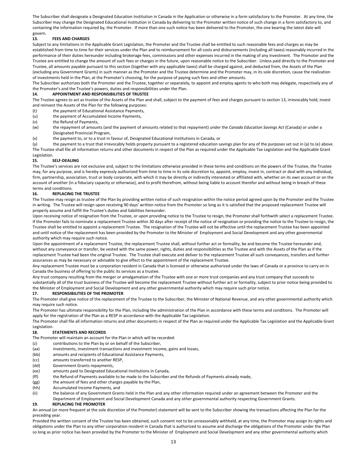The Subscriber shall designate a Designated Education Institution in Canada in the Application or otherwise in a form satisfactory to the Promoter. At any time, the Subscriber may change the Designated Educational Institution in Canada by delivering to the Promoter written notice of such change in a form satisfactory to, and containing the information required by, the Promoter. If more than one such notice has been delivered to the Promoter, the one bearing the latest date will govern.

#### **13. FEES AND CHARGES**

Subject to any limitations in the Applicable Grant Legislation, the Promoter and the Trustee shall be entitled to such reasonable fees and charges as may be established from time to time for their services under the Plan and to reimbursement for all costs and disbursements (including all taxes) reasonably incurred in the performance of their duties hereunder including brokerage fees, commissions and other expenses incurred in the making of any investment. The Promoter and the Trustee are entitled to change the amount of such fees or charges in the future, upon reasonable notice to the Subscriber. Unless paid directly to the Promoter and Trustee, all amounts payable pursuant to this section (together with any applicable taxes) shall be charged against, and deducted from, the Assets of the Plan (excluding any Government Grants) in such manner as the Promoter and the Trustee determine and the Promoter may, in its sole discretion, cause the realization of investments held in the Plan, at the Promoter's choosing, for the purpose of paying such fees and other amounts.

The Subscriber authorizes both the Promoter and the Trustee, together or separately, to appoint and employ agents to who both may delegate, respectively any of the Promoter's and the Trustee's powers, duties and responsibilities under the Plan.

#### **14. APPOINTMENT AND RESPONSIBILITIES OF TRUSTEE**

The Trustee agrees to act as trustee of the Assets of the Plan and shall, subject to the payment of fees and charges pursuant to section 13, irrevocably hold, invest and reinvest the Assets of the Plan for the following purposes:

(t) the payment of Educational Assistance Payments,

(u) the payment of Accumulated Income Payments,

- (v) the Refund of Payments,
- (w) the repayment of amounts (and the payment of amounts related to that repayment) under the *Canada Education Savings Act* (Canada) or under a Designated Provincial Program,

(x) the payment to, or to a trust in favour of, Designated Educational Institutions in Canada, or

(y) the payment to a trust that irrevocably holds property pursuant to a registered education savings plan for any of the purposes set out in (a) to (e) above. The Trustee shall file all information returns and other documents in respect of the Plan as required under the Applicable Tax Legislation and the Applicable Grant Legislation.

#### **15. SELF-DEALING**

The Trustee's services are not exclusive and, subject to the limitations otherwise provided in these terms and conditions on the powers of the Trustee, the Trustee may, for any purpose, and is hereby expressly authorized from time to time in its sole discretion to, appoint, employ, invest in, contract or deal with any individual, firm, partnership, association, trust or body corporate, with which it may be directly or indirectly interested or affiliated with, whether on its own account or on the account of another (in a fiduciary capacity or otherwise), and to profit therefrom, without being liable to account therefor and without being in breach of these terms and conditions.

#### **16. REPLACING THE TRUSTEE**

The Trustee may resign as trustee of the Plan by providing written notice of such resignation within the notice period agreed upon by the Promoter and the Trustee in writing. The Trustee will resign upon receiving 90 days' written notice from the Promoter so long as it is satisfied that the proposed replacement Trustee will properly assume and fulfill the Trustee's duties and liabilities hereunder.

Upon receiving notice of resignation from the Trustee, or upon providing notice to the Trustee to resign, the Promoter shall forthwith select a replacement Trustee. If the Promoter fails to nominate a replacement Trustee within 30 days after receipt of the notice of resignation or providing the notice to the Trustee to resign, the Trustee shall be entitled to appoint a replacement Trustee. The resignation of the Trustee will not be effective until the replacement Trustee has been appointed and until notice of the replacement has been provided by the Promoter to the Minister of Employment and Social Development and any other governmental authority which may require such notice.

Upon the appointment of a replacement Trustee, the replacement Trustee shall, without further act or formality, be and become the Trustee hereunder and, without any conveyance or transfer, be vested with the same power, rights, duties and responsibilities as the Trustee and with the Assets of the Plan as if the replacement Trustee had been the original Trustee. The Trustee shall execute and deliver to the replacement Trustee all such conveyances, transfers and further assurances as may be necessary or advisable to give effect to the appointment of the replacement Trustee.

Any replacement Trustee must be a corporation resident in Canada that is licensed or otherwise authorized under the laws of Canada or a province to carry on in Canada the business of offering to the public its services as a trustee.

Any trust company resulting from the merger or amalgamation of the Trustee with one or more trust companies and any trust company that succeeds to substantially all of the trust business of the Trustee will become the replacement Trustee without further act or formality, subject to prior notice being provided to the Minister of Employment and Social Development and any other governmental authority which may require such prior notice.

#### **17. RESPONSIBILITIES OF THE PROMOTER**

The Promoter shall give notice of the replacement of the Trustee to the Subscriber, the Minister of National Revenue, and any other governmental authority which may require such notice.

The Promoter has ultimate responsibility for the Plan, including the administration of the Plan in accordance with these terms and conditions. The Promoter will apply for the registration of the Plan as a RESP in accordance with the Applicable Tax Legislation.

The Promoter shall file all information returns and other documents in respect of the Plan as required under the Applicable Tax Legislation and the Applicable Grant Legislation.

#### **18. STATEMENTS AND RECORDS**

The Promoter will maintain an account for the Plan in which will be recorded:

- (z) contributions to the Plan by or on behalf of the Subscriber,
- (aa) investments, investment transactions and investment income, gains and losses,
- (bb) amounts and recipients of Educational Assistance Payments,
- (cc) amounts transferred to another RESP,
- (dd) Government Grants repayments,
- (ee) amounts paid to Designated Educational Institutions in Canada,
- (ff) the Refund of Payments available to be made to the Subscriber and the Refunds of Payments already made,
- (gg) the amount of fees and other charges payable by the Plan,
- (hh) Accumulated Income Payments, and
- (ii) the balance of any Government Grants held in the Plan and any other information required under an agreement between the Promoter and the Department of Employment and Social Development Canada and any other governmental authority respecting Government Grants.

#### **19. REPLACING THE PROMOTER**

An annual (or more frequent at the sole discretion of the Promoter) statement will be sent to the Subscriber showing the transactions affecting the Plan for the preceding year.

Provided the written consent of the Trustee has been obtained, such consent not to be unreasonably withheld, at any time, the Promoter may assign its rights and obligations under the Plan to any other corporation resident in Canada that is authorized to assume and discharge the obligations of the Promoter under the Plan so long as prior notice has been provided by the Promoter to the Minister of Employment and Social Development and any other governmental authority which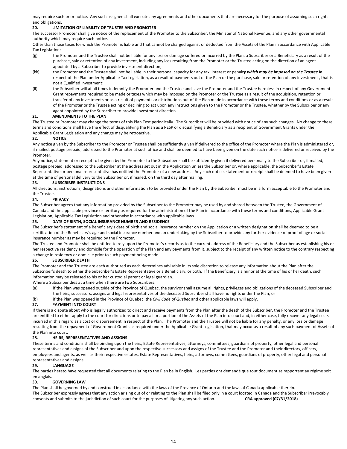may require such prior notice. Any such assignee shall execute any agreements and other documents that are necessary for the purpose of assuming such rights and obligations.

#### **20. LIMITATION OF LIABILITY OF TRUSTEE AND PROMOTER**

The successor Promoter shall give notice of the replacement of the Promoter to the Subscriber, the Minister of National Revenue, and any other governmental authority which may require such notice.

Other than those taxes for which the Promoter is liable and that cannot be charged against or deducted from the Assets of the Plan in accordance with Applicable Tax Legislation:

- (jj) the Promoter and the Trustee shall not be liable for any loss or damage suffered or incurred by the Plan, a Subscriber or a Beneficiary as a result of the purchase, sale or retention of any investment, including any loss resulting from the Promoter or the Trustee acting on the direction of an agent appointed by a Subscriber to provide investment direction;
- (kk) the Promoter and the Trustee shall not be liable in their personal capacity for any tax, interest or penal*ty which may be imposed on the Trustee in* respect of the Plan under Applicable Tax Legislation, as a result of payments out of the Plan or the purchase, sale or retention of any investment, that is not a Qualified Investment:
- (ll) the Subscriber will at all times indemnify the Promoter and the Trustee and save the Promoter and the Trustee harmless in respect of any Government Grant repayments required to be made or taxes which may be imposed on the Promoter or the Trustee as a result of the acquisition, retention or transfer of any investments or as a result of payments or distributions out of the Plan made in accordance with these terms and conditions or as a result of the Promoter or the Trustee acting or declining to act upon any instructions given to the Promoter or the Trustee, whether by the Subscriber or any agent appointed by the Subscriber to provide investment direction.

#### **21. AMENDMENTS TO THE PLAN**

The Trustee or Promoter may change the terms of this Plan Text periodically. The Subscriber will be provided with notice of any such changes. No change to these terms and conditions shall have the effect of disqualifying the Plan as a RESP or disqualifying a Beneficiary as a recipient of Government Grants under the Applicable Grant Legislation and any change may be retroactive.

#### **22. NOTICE**

Any notice given by the Subscriber to the Promoter or Trustee shall be sufficiently given if delivered to the office of the Promoter where the Plan is administered or, if mailed, postage prepaid, addressed to the Promoter at such office and shall be deemed to have been given on the date such notice is delivered or received by the Promoter.

Any notice, statement or receipt to be given by the Promoter to the Subscriber shall be sufficiently given if delivered personally to the Subscriber or, if mailed, postage prepaid, addressed to the Subscriber at the address set out in the Application unless the Subscriber or, where applicable, the Subscriber's Estate Representative or personal representative has notified the Promoter of a new address. Any such notice, statement or receipt shall be deemed to have been given at the time of personal delivery to the Subscriber or, if mailed, on the third day after mailing.

#### **23. SUBSCRIBER INSTRUCTIONS**

All directions, instructions, designations and other information to be provided under the Plan by the Subscriber must be in a form acceptable to the Promoter and the Trustee.

#### **24. PRIVACY**

The Subscriber agrees that any information provided by the Subscriber to the Promoter may be used by and shared between the Trustee, the Government of Canada and the applicable province or territory as required for the administration of the Plan in accordance with these terms and conditions, Applicable Grant Legislation, Applicable Tax Legislation and otherwise in accordance with applicable laws.

#### **25. DATE OF BIRTH, SOCIAL INSURANCE NUMBER AND RESIDENCE**

The Subscriber's statement of a Beneficiary's date of birth and social insurance number on the Application or a written designation shall be deemed to be a certification of the Beneficiary's age and social insurance number and an undertaking by the Subscriber to provide any further evidence of proof of age or social insurance number as may be required by the Promoter.

The Trustee and Promoter shall be entitled to rely upon the Promoter's records as to the current address of the Beneficiary and the Subscriber as establishing his or her respective residency and domicile for the operation of the Plan and any payments from it, subject to the receipt of any written notice to the contrary respecting a change in residency or domicile prior to such payment being made.

#### **26. SUBSCRIBER DEATH**

The Promoter and the Trustee are each authorized as each determines advisable in its sole discretion to release any information about the Plan after the Subscriber's death to either the Subscriber's Estate Representative or a Beneficiary, or both. If the Beneficiary is a minor at the time of his or her death, such information may be released to his or her custodial parent or legal guardian.

Where a Subscriber dies at a time when there are two Subscribers:

- (a) if the Plan was opened outside of the Province of Quebec, the survivor shall assume all rights, privileges and obligations of the deceased Subscriber and the heirs, successors, assigns and legal representatives of the deceased Subscriber shall have no rights under the Plan; or
- (b) if the Plan was opened in the Province of Quebec, the *Civil Code of Quebec* and other applicable laws will apply.

#### **27. PAYMENT INTO COURT**

If there is a dispute about who is legally authorized to direct and receive payments from the Plan after the death of the Subscriber, the Promoter and the Trustee are entitled to either apply to the court for directions or to pay all or a portion of the Assets of the Plan into court and, in either case, fully recover any legal costs incurred in this regard as a cost or disbursement in respect of the Plan. The Promoter and the Trustee will not be liable for any penalty, or any loss or damage resulting from the repayment of Government Grants as required under the Applicable Grant Legislation, that may occur as a result of any such payment of Assets of the Plan into court.

#### **28. HEIRS, REPRESENTATIVES AND ASSIGNS**

These terms and conditions shall be binding upon the heirs, Estate Representatives, attorneys, committees, guardians of property, other legal and personal representatives and assigns of the Subscriber and upon the respective successors and assigns of the Trustee and the Promoter and their directors, officers, employees and agents, as well as their respective estates, Estate Representatives, heirs, attorneys, committees, guardians of property, other legal and personal representatives and assigns.

#### **29. LANGUAGE**

The parties hereto have requested that all documents relating to the Plan be in English. Les parties ont demandé que tout document se rapportant au régime soit en anglais.

#### **30. GOVERNING LAW**

The Plan shall be governed by and construed in accordance with the laws of the Province of Ontario and the laws of Canada applicable therein. The Subscriber expressly agrees that any action arising out of or relating to the Plan shall be filed only in a court located in Canada and the Subscriber irrevocably consents and submits to the jurisdiction of such court for the purposes of litigating any such action. **CRA approved (07/31/2018)**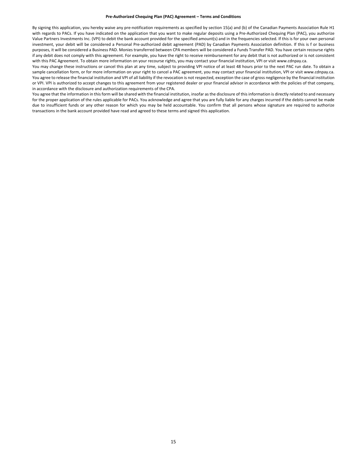#### **Pre-Authorized Chequing Plan (PAC) Agreement – Terms and Conditions**

By signing this application, you hereby waive any pre-notification requirements as specified by section 15(a) and (b) of the Canadian Payments Association Rule H1 with regards to PACs. If you have indicated on the application that you want to make regular deposits using a Pre-Authorized Chequing Plan (PAC), you authorize Value Partners Investments Inc. (VPI) to debit the bank account provided for the specified amount(s) and in the frequencies selected. If this is for your own personal investment, your debit will be considered a Personal Pre-authorized debit agreement (PAD) by Canadian Payments Association definition. If this is f or business purposes, it will be considered a Business PAD. Monies transferred between CPA members will be considered a Funds Transfer PAD. You have certain recourse rights if any debit does not comply with this agreement. For example, you have the right to receive reimbursement for any debit that is not authorized or is not consistent with this PAC Agreement. To obtain more information on your recourse rights, you may contact your financial institution, VPI or visit www.cdnpay.ca.

You may change these instructions or cancel this plan at any time, subject to providing VPI notice of at least 48 hours prior to the next PAC run date. To obtain a sample cancellation form, or for more information on your right to cancel a PAC agreement, you may contact your financial institution, VPI or visit www.cdnpay.ca. You agree to release the financial institution and VPI of all liability if the revocation is not respected, exception the case of gross negligence by the financial institution or VPI. VPI is authorized to accept changes to this agreement from your registered dealer or your financial advisor in accordance with the policies of that company, in accordance with the disclosure and authorization requirements of the CPA.

You agree that the information in this form will be shared with the financial institution, insofar as the disclosure of this information is directly related to and necessary for the proper application of the rules applicable for PACs. You acknowledge and agree that you are fully liable for any charges incurred if the debits cannot be made due to insufficient funds or any other reason for which you may be held accountable. You confirm that all persons whose signature are required to authorize transactions in the bank account provided have read and agreed to these terms and signed this application.